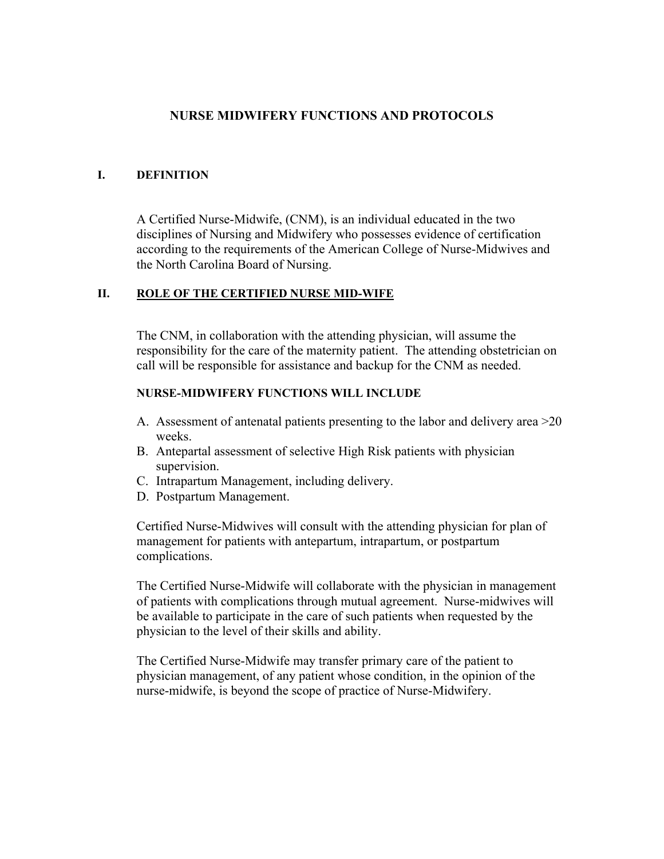#### **NURSE MIDWIFERY FUNCTIONS AND PROTOCOLS**

#### **I. DEFINITION**

A Certified Nurse-Midwife, (CNM), is an individual educated in the two disciplines of Nursing and Midwifery who possesses evidence of certification according to the requirements of the American College of Nurse-Midwives and the North Carolina Board of Nursing.

#### **II. ROLE OF THE CERTIFIED NURSE MID-WIFE**

The CNM, in collaboration with the attending physician, will assume the responsibility for the care of the maternity patient. The attending obstetrician on call will be responsible for assistance and backup for the CNM as needed.

#### **NURSE-MIDWIFERY FUNCTIONS WILL INCLUDE**

- A. Assessment of antenatal patients presenting to the labor and delivery area >20 weeks.
- B. Antepartal assessment of selective High Risk patients with physician supervision.
- C. Intrapartum Management, including delivery.
- D. Postpartum Management.

Certified Nurse-Midwives will consult with the attending physician for plan of management for patients with antepartum, intrapartum, or postpartum complications.

The Certified Nurse-Midwife will collaborate with the physician in management of patients with complications through mutual agreement. Nurse-midwives will be available to participate in the care of such patients when requested by the physician to the level of their skills and ability.

The Certified Nurse-Midwife may transfer primary care of the patient to physician management, of any patient whose condition, in the opinion of the nurse-midwife, is beyond the scope of practice of Nurse-Midwifery.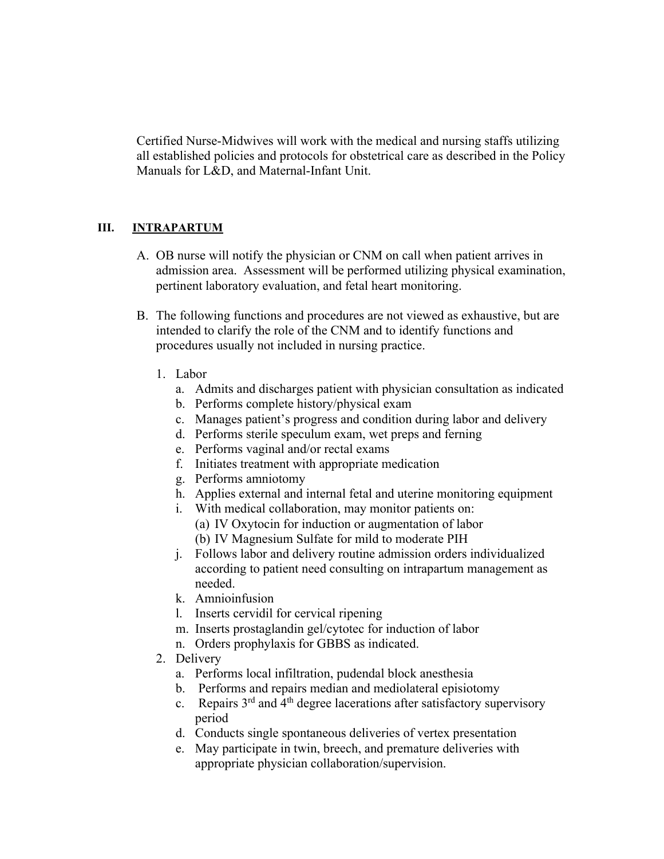Certified Nurse-Midwives will work with the medical and nursing staffs utilizing all established policies and protocols for obstetrical care as described in the Policy Manuals for L&D, and Maternal-Infant Unit.

#### **III. INTRAPARTUM**

- A. OB nurse will notify the physician or CNM on call when patient arrives in admission area. Assessment will be performed utilizing physical examination, pertinent laboratory evaluation, and fetal heart monitoring.
- B. The following functions and procedures are not viewed as exhaustive, but are intended to clarify the role of the CNM and to identify functions and procedures usually not included in nursing practice.
	- 1. Labor
		- a. Admits and discharges patient with physician consultation as indicated
		- b. Performs complete history/physical exam
		- c. Manages patient's progress and condition during labor and delivery
		- d. Performs sterile speculum exam, wet preps and ferning
		- e. Performs vaginal and/or rectal exams
		- f. Initiates treatment with appropriate medication
		- g. Performs amniotomy
		- h. Applies external and internal fetal and uterine monitoring equipment
		- i. With medical collaboration, may monitor patients on:
		- (a) IV Oxytocin for induction or augmentation of labor (b) IV Magnesium Sulfate for mild to moderate PIH
		- j. Follows labor and delivery routine admission orders individualized according to patient need consulting on intrapartum management as needed.
		- k. Amnioinfusion
		- l. Inserts cervidil for cervical ripening
		- m. Inserts prostaglandin gel/cytotec for induction of labor
		- n. Orders prophylaxis for GBBS as indicated.
	- 2. Delivery
		- a. Performs local infiltration, pudendal block anesthesia
		- b. Performs and repairs median and mediolateral episiotomy
		- c. Repairs  $3<sup>rd</sup>$  and  $4<sup>th</sup>$  degree lacerations after satisfactory supervisory period
		- d. Conducts single spontaneous deliveries of vertex presentation
		- e. May participate in twin, breech, and premature deliveries with appropriate physician collaboration/supervision.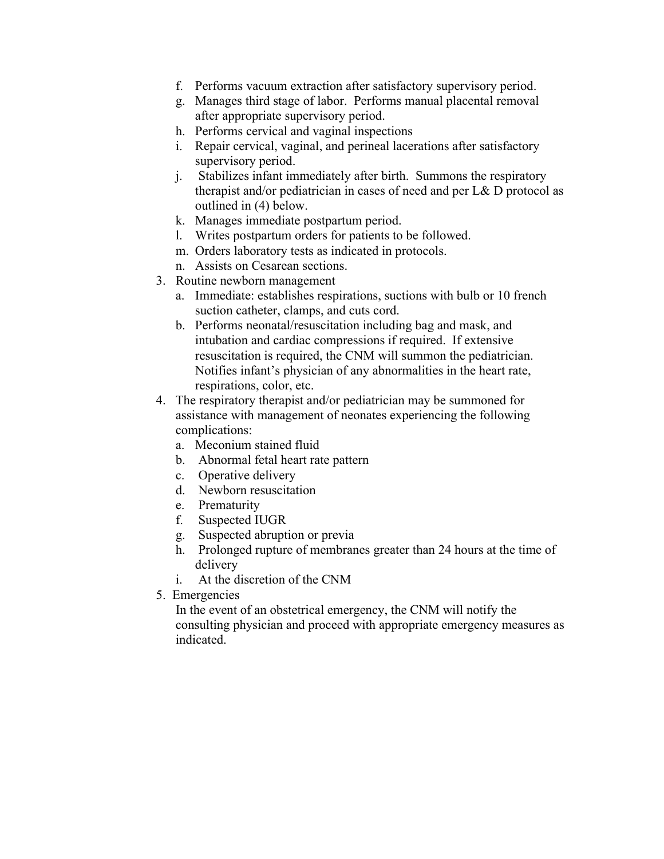- f. Performs vacuum extraction after satisfactory supervisory period.
- g. Manages third stage of labor. Performs manual placental removal after appropriate supervisory period.
- h. Performs cervical and vaginal inspections
- i. Repair cervical, vaginal, and perineal lacerations after satisfactory supervisory period.
- j. Stabilizes infant immediately after birth. Summons the respiratory therapist and/or pediatrician in cases of need and per L& D protocol as outlined in (4) below.
- k. Manages immediate postpartum period.
- l. Writes postpartum orders for patients to be followed.
- m. Orders laboratory tests as indicated in protocols.
- n. Assists on Cesarean sections.
- 3. Routine newborn management
	- a. Immediate: establishes respirations, suctions with bulb or 10 french suction catheter, clamps, and cuts cord.
	- b. Performs neonatal/resuscitation including bag and mask, and intubation and cardiac compressions if required. If extensive resuscitation is required, the CNM will summon the pediatrician. Notifies infant's physician of any abnormalities in the heart rate, respirations, color, etc.
- 4. The respiratory therapist and/or pediatrician may be summoned for assistance with management of neonates experiencing the following complications:
	- a. Meconium stained fluid
	- b. Abnormal fetal heart rate pattern
	- c. Operative delivery
	- d. Newborn resuscitation
	- e. Prematurity
	- f. Suspected IUGR
	- g. Suspected abruption or previa
	- h. Prolonged rupture of membranes greater than 24 hours at the time of delivery
	- i. At the discretion of the CNM
- 5. Emergencies

In the event of an obstetrical emergency, the CNM will notify the consulting physician and proceed with appropriate emergency measures as indicated.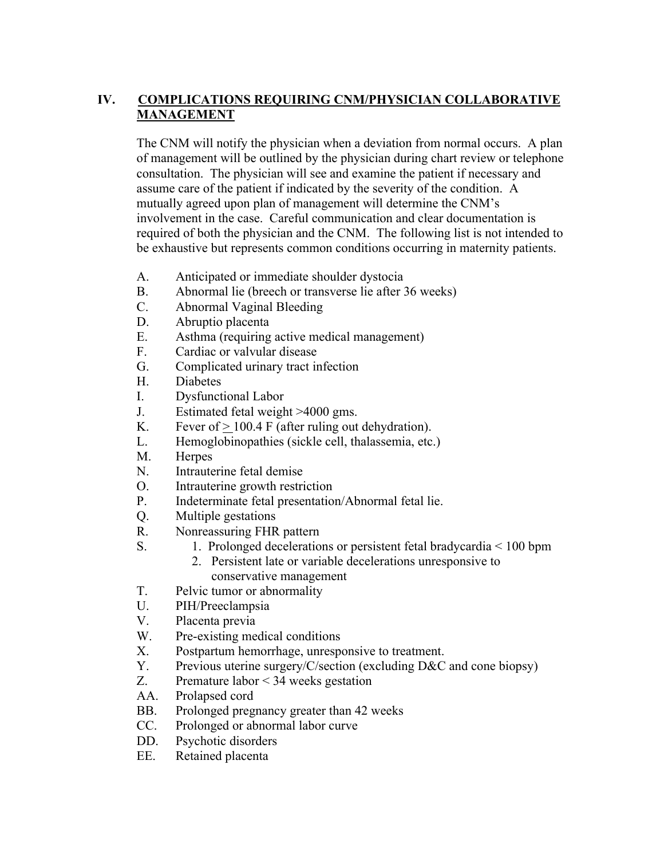## **IV. COMPLICATIONS REQUIRING CNM/PHYSICIAN COLLABORATIVE MANAGEMENT**

The CNM will notify the physician when a deviation from normal occurs. A plan of management will be outlined by the physician during chart review or telephone consultation. The physician will see and examine the patient if necessary and assume care of the patient if indicated by the severity of the condition. A mutually agreed upon plan of management will determine the CNM's involvement in the case. Careful communication and clear documentation is required of both the physician and the CNM. The following list is not intended to be exhaustive but represents common conditions occurring in maternity patients.

- A. Anticipated or immediate shoulder dystocia
- B. Abnormal lie (breech or transverse lie after 36 weeks)
- C. Abnormal Vaginal Bleeding
- D. Abruptio placenta
- E. Asthma (requiring active medical management)
- F. Cardiac or valvular disease
- G. Complicated urinary tract infection
- H. Diabetes
- I. Dysfunctional Labor
- J. Estimated fetal weight >4000 gms.
- K. Fever of  $> 100.4$  F (after ruling out dehydration).
- L. Hemoglobinopathies (sickle cell, thalassemia, etc.)
- M. Herpes
- N. Intrauterine fetal demise
- O. Intrauterine growth restriction
- P. Indeterminate fetal presentation/Abnormal fetal lie.
- Q. Multiple gestations
- R. Nonreassuring FHR pattern
- S. 1. Prolonged decelerations or persistent fetal bradycardia < 100 bpm
	- 2. Persistent late or variable decelerations unresponsive to conservative management
- T. Pelvic tumor or abnormality
- U. PIH/Preeclampsia
- V. Placenta previa
- W. Pre-existing medical conditions
- X. Postpartum hemorrhage, unresponsive to treatment.
- Y. Previous uterine surgery/C/section (excluding D&C and cone biopsy)
- Z. Premature labor < 34 weeks gestation
- AA. Prolapsed cord
- BB. Prolonged pregnancy greater than 42 weeks
- CC. Prolonged or abnormal labor curve
- DD. Psychotic disorders
- EE. Retained placenta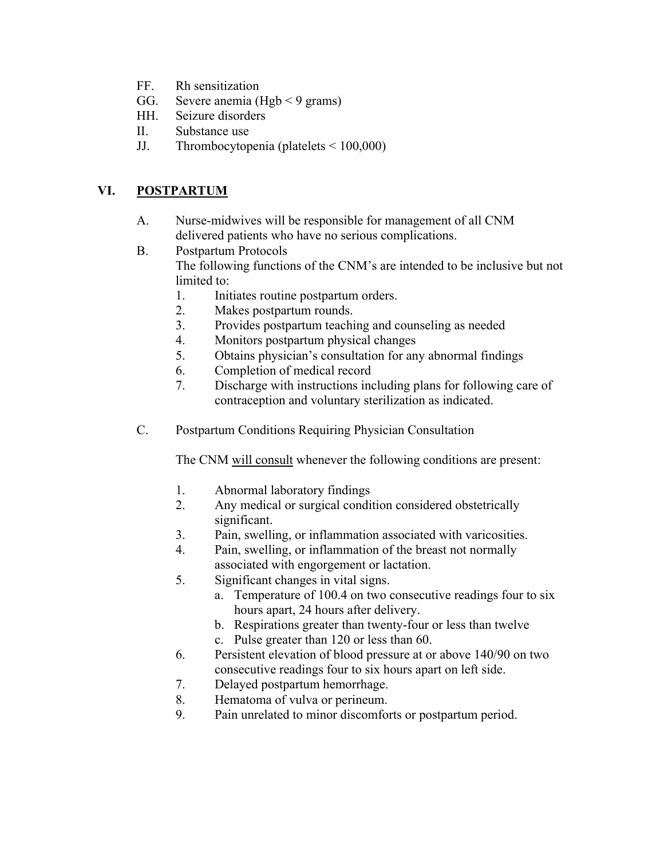- FF. Rh sensitization
- GG. Severe anemia (Hgb  $\leq$  9 grams)
- HH. Seizure disorders
- II. Substance use
- JJ. Thrombocytopenia (platelets < 100,000)

# **VI. POSTPARTUM**

- A. Nurse-midwives will be responsible for management of all CNM delivered patients who have no serious complications.
- B. Postpartum Protocols The following functions of the CNM's are intended to be inclusive but not limited to:
	- 1. Initiates routine postpartum orders.
	- 2. Makes postpartum rounds.
	- 3. Provides postpartum teaching and counseling as needed
	- 4. Monitors postpartum physical changes
	- 5. Obtains physician's consultation for any abnormal findings
	- 6. Completion of medical record
	- 7. Discharge with instructions including plans for following care of contraception and voluntary sterilization as indicated.
- C. Postpartum Conditions Requiring Physician Consultation

The CNM will consult whenever the following conditions are present:

- 1. Abnormal laboratory findings
- 2. Any medical or surgical condition considered obstetrically significant.
- 3. Pain, swelling, or inflammation associated with varicosities.
- 4. Pain, swelling, or inflammation of the breast not normally associated with engorgement or lactation.
- 5. Significant changes in vital signs.
	- a. Temperature of 100.4 on two consecutive readings four to six hours apart, 24 hours after delivery.
	- b. Respirations greater than twenty-four or less than twelve
	- c. Pulse greater than 120 or less than 60.
- 6. Persistent elevation of blood pressure at or above 140/90 on two consecutive readings four to six hours apart on left side.
- 7. Delayed postpartum hemorrhage.
- 8. Hematoma of vulva or perineum.
- 9. Pain unrelated to minor discomforts or postpartum period.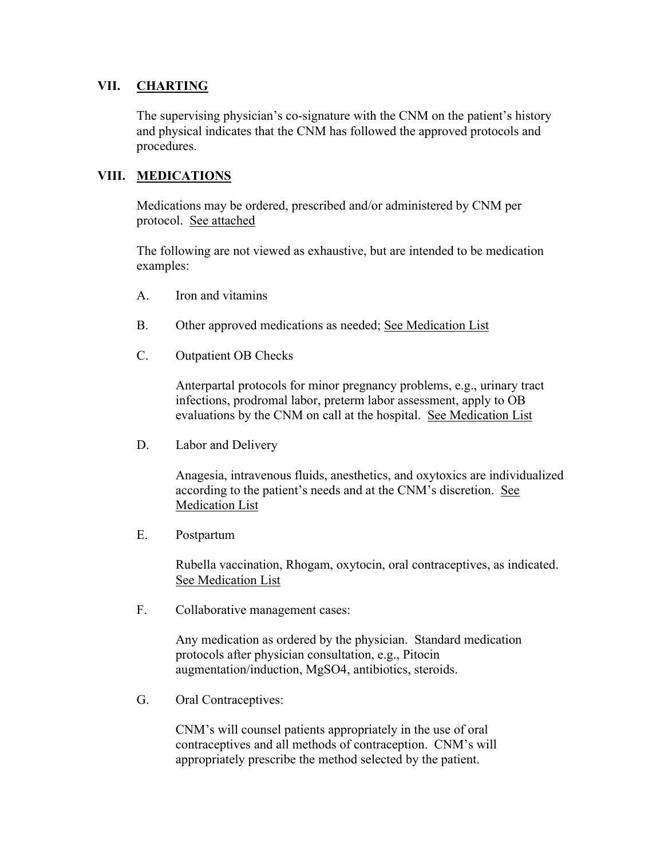## **VII. CHARTING**

The supervising physician's co-signature with the CNM on the patient's history and physical indicates that the CNM has followed the approved protocols and procedures.

#### **VIII. MEDICATIONS**

Medications may be ordered, prescribed and/or administered by CNM per protocol. See attached

The following are not viewed as exhaustive, but are intended to be medication examples:

- A. Iron and vitamins
- B. Other approved medications as needed; See Medication List
- C. Outpatient OB Checks

Anterpartal protocols for minor pregnancy problems, e.g., urinary tract infections, prodromal labor, preterm labor assessment, apply to OB evaluations by the CNM on call at the hospital. See Medication List

D. Labor and Delivery

Anagesia, intravenous fluids, anesthetics, and oxytoxics are individualized according to the patient's needs and at the CNM's discretion. See Medication List

E. Postpartum

Rubella vaccination, Rhogam, oxytocin, oral contraceptives, as indicated. See Medication List

F. Collaborative management cases:

Any medication as ordered by the physician. Standard medication protocols after physician consultation, e.g., Pitocin augmentation/induction, MgSO4, antibiotics, steroids.

G. Oral Contraceptives:

CNM's will counsel patients appropriately in the use of oral contraceptives and all methods of contraception. CNM's will appropriately prescribe the method selected by the patient.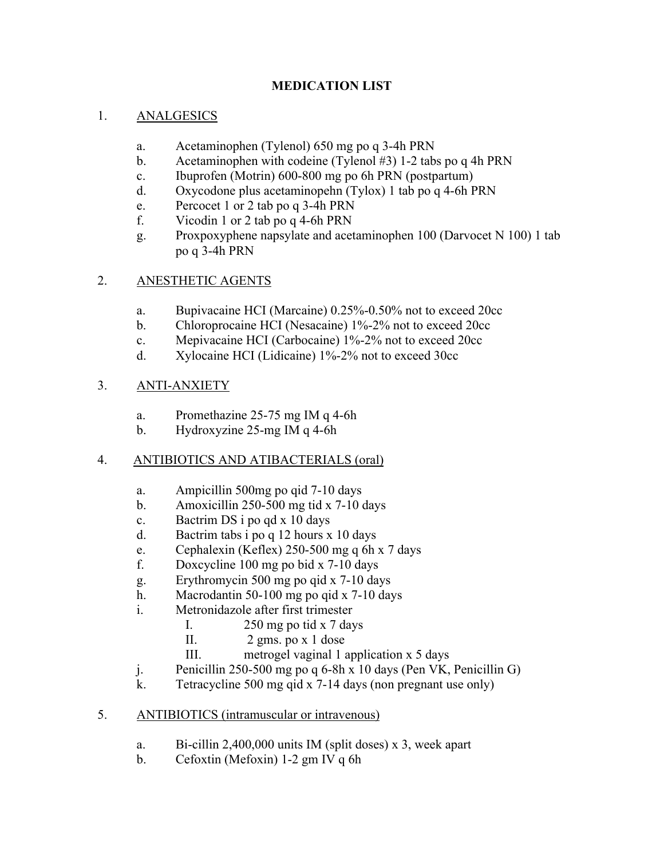## **MEDICATION LIST**

## 1. ANALGESICS

- a. Acetaminophen (Tylenol) 650 mg po q 3-4h PRN
- b. Acetaminophen with codeine (Tylenol #3) 1-2 tabs po q 4h PRN
- c. Ibuprofen (Motrin) 600-800 mg po 6h PRN (postpartum)
- d. Oxycodone plus acetaminopehn (Tylox) 1 tab po q 4-6h PRN
- e. Percocet 1 or 2 tab po q 3-4h PRN
- f. Vicodin 1 or 2 tab po q 4-6h PRN
- g. Proxpoxyphene napsylate and acetaminophen 100 (Darvocet N 100) 1 tab po q 3-4h PRN

# 2. ANESTHETIC AGENTS

- a. Bupivacaine HCI (Marcaine) 0.25%-0.50% not to exceed 20cc
- b. Chloroprocaine HCI (Nesacaine) 1%-2% not to exceed 20cc
- c. Mepivacaine HCI (Carbocaine) 1%-2% not to exceed 20cc
- d. Xylocaine HCI (Lidicaine) 1%-2% not to exceed 30cc

# 3. ANTI-ANXIETY

- a. Promethazine 25-75 mg IM q 4-6h
- b. Hydroxyzine 25-mg IM q 4-6h

# 4. ANTIBIOTICS AND ATIBACTERIALS (oral)

- a. Ampicillin 500mg po qid 7-10 days
- b. Amoxicillin 250-500 mg tid x 7-10 days
- c. Bactrim DS i po qd x 10 days
- d. Bactrim tabs i po q 12 hours x 10 days
- e. Cephalexin (Keflex) 250-500 mg q 6h x 7 days
- f. Doxcycline 100 mg po bid x 7-10 days
- g. Erythromycin 500 mg po qid x 7-10 days
- h. Macrodantin 50-100 mg po qid x 7-10 days
- i. Metronidazole after first trimester
	- I.  $250 \text{ mg}$  po tid x 7 days
	- II. 2 gms. po x 1 dose
	- III. metrogel vaginal 1 application x 5 days
- j. Penicillin 250-500 mg po q 6-8h x 10 days (Pen VK, Penicillin G)
- k. Tetracycline 500 mg qid x 7-14 days (non pregnant use only)
- 5. ANTIBIOTICS (intramuscular or intravenous)
	- a. Bi-cillin 2,400,000 units IM (split doses) x 3, week apart
	- b. Cefoxtin (Mefoxin) 1-2 gm IV q 6h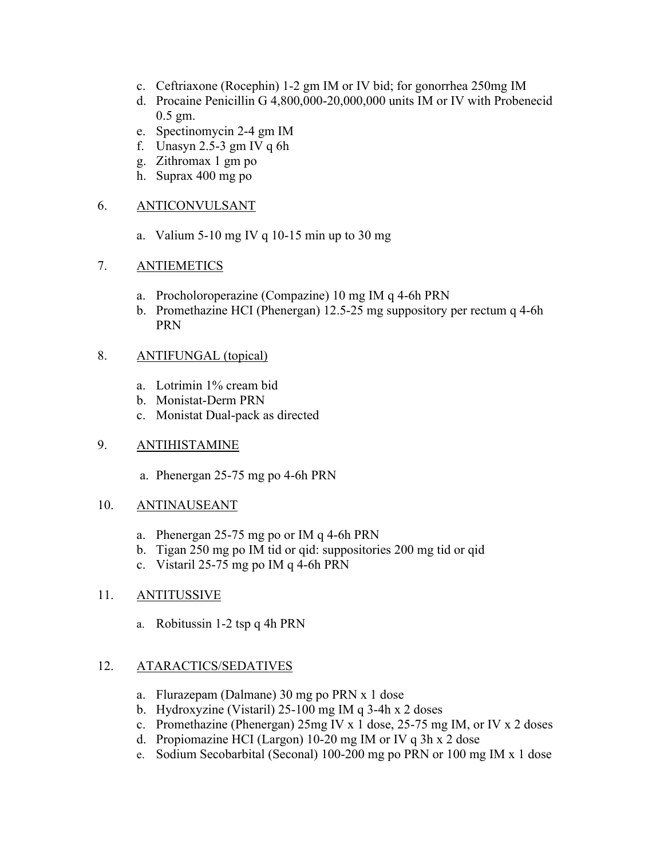- c. Ceftriaxone (Rocephin) 1-2 gm IM or IV bid; for gonorrhea 250mg IM
- d. Procaine Penicillin G 4,800,000-20,000,000 units IM or IV with Probenecid 0.5 gm.
- e. Spectinomycin 2-4 gm IM
- f. Unasyn  $2.5-3$  gm IV q 6h
- g. Zithromax 1 gm po
- h. Suprax 400 mg po

#### 6. ANTICONVULSANT

a. Valium 5-10 mg IV q 10-15 min up to 30 mg

#### 7. ANTIEMETICS

- a. Procholoroperazine (Compazine) 10 mg IM q 4-6h PRN
- b. Promethazine HCI (Phenergan) 12.5-25 mg suppository per rectum q 4-6h PRN

#### 8. ANTIFUNGAL (topical)

- a. Lotrimin 1% cream bid
- b. Monistat-Derm PRN
- c. Monistat Dual-pack as directed

#### 9. ANTIHISTAMINE

a. Phenergan 25-75 mg po 4-6h PRN

#### 10. ANTINAUSEANT

- a. Phenergan 25-75 mg po or IM q 4-6h PRN
- b. Tigan 250 mg po IM tid or qid: suppositories 200 mg tid or qid
- c. Vistaril 25-75 mg po IM q 4-6h PRN

## 11. ANTITUSSIVE

a. Robitussin 1-2 tsp q 4h PRN

## 12. ATARACTICS/SEDATIVES

- a. Flurazepam (Dalmane) 30 mg po PRN x 1 dose
- b. Hydroxyzine (Vistaril) 25-100 mg IM q 3-4h x 2 doses
- c. Promethazine (Phenergan) 25mg IV x 1 dose, 25-75 mg IM, or IV x 2 doses
- d. Propiomazine HCI (Largon) 10-20 mg IM or IV q 3h x 2 dose
- e. Sodium Secobarbital (Seconal) 100-200 mg po PRN or 100 mg IM x 1 dose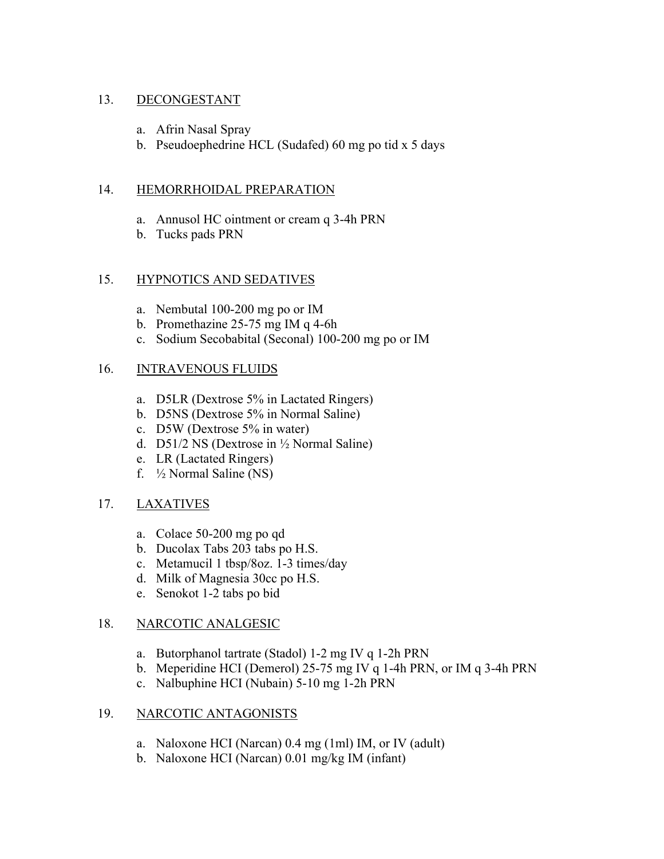#### 13. DECONGESTANT

- a. Afrin Nasal Spray
- b. Pseudoephedrine HCL (Sudafed) 60 mg po tid x 5 days

#### 14. HEMORRHOIDAL PREPARATION

- a. Annusol HC ointment or cream q 3-4h PRN
- b. Tucks pads PRN

#### 15. HYPNOTICS AND SEDATIVES

- a. Nembutal 100-200 mg po or IM
- b. Promethazine 25-75 mg IM q 4-6h
- c. Sodium Secobabital (Seconal) 100-200 mg po or IM

#### 16. INTRAVENOUS FLUIDS

- a. D5LR (Dextrose 5% in Lactated Ringers)
- b. D5NS (Dextrose 5% in Normal Saline)
- c. D5W (Dextrose 5% in water)
- d. D51/2 NS (Dextrose in ½ Normal Saline)
- e. LR (Lactated Ringers)
- f. ½ Normal Saline (NS)

## 17. LAXATIVES

- a. Colace 50-200 mg po qd
- b. Ducolax Tabs 203 tabs po H.S.
- c. Metamucil 1 tbsp/8oz. 1-3 times/day
- d. Milk of Magnesia 30cc po H.S.
- e. Senokot 1-2 tabs po bid

#### 18. NARCOTIC ANALGESIC

- a. Butorphanol tartrate (Stadol) 1-2 mg IV q 1-2h PRN
- b. Meperidine HCI (Demerol) 25-75 mg IV q 1-4h PRN, or IM q 3-4h PRN
- c. Nalbuphine HCI (Nubain) 5-10 mg 1-2h PRN

## 19. NARCOTIC ANTAGONISTS

- a. Naloxone HCI (Narcan) 0.4 mg (1ml) IM, or IV (adult)
- b. Naloxone HCI (Narcan) 0.01 mg/kg IM (infant)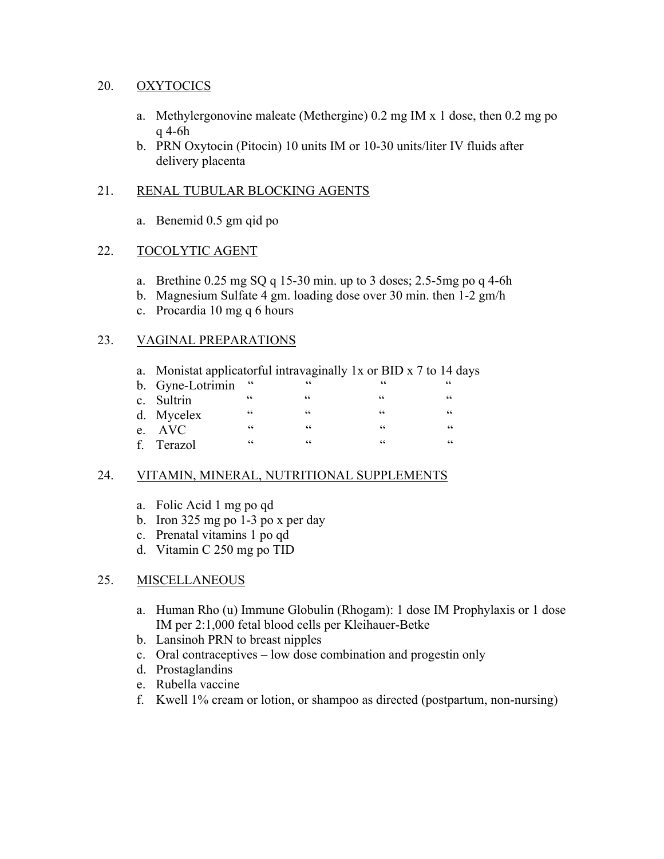#### 20. OXYTOCICS

- a. Methylergonovine maleate (Methergine) 0.2 mg IM x 1 dose, then 0.2 mg po q 4-6h
- b. PRN Oxytocin (Pitocin) 10 units IM or 10-30 units/liter IV fluids after delivery placenta

#### 21. RENAL TUBULAR BLOCKING AGENTS

a. Benemid 0.5 gm qid po

#### 22. TOCOLYTIC AGENT

- a. Brethine  $0.25 \text{ mg SQ}$  q 15-30 min. up to 3 doses; 2.5-5mg po q 4-6h
- b. Magnesium Sulfate 4 gm. loading dose over 30 min. then 1-2 gm/h
- c. Procardia 10 mg q 6 hours

#### 23. VAGINAL PREPARATIONS

- a. Monistat applicatorful intravaginally 1x or BID x 7 to 14 days b. Gyne-Lotrimin " " " " c. Sultrin " " " " d. Mycelex " " " "
- e. AVC " " " " f. Terazol

## 24. VITAMIN, MINERAL, NUTRITIONAL SUPPLEMENTS

- a. Folic Acid 1 mg po qd
- b. Iron 325 mg po 1-3 po x per day
- c. Prenatal vitamins 1 po qd
- d. Vitamin C 250 mg po TID

## 25. MISCELLANEOUS

- a. Human Rho (u) Immune Globulin (Rhogam): 1 dose IM Prophylaxis or 1 dose IM per 2:1,000 fetal blood cells per Kleihauer-Betke
- b. Lansinoh PRN to breast nipples
- c. Oral contraceptives low dose combination and progestin only
- d. Prostaglandins
- e. Rubella vaccine
- f. Kwell 1% cream or lotion, or shampoo as directed (postpartum, non-nursing)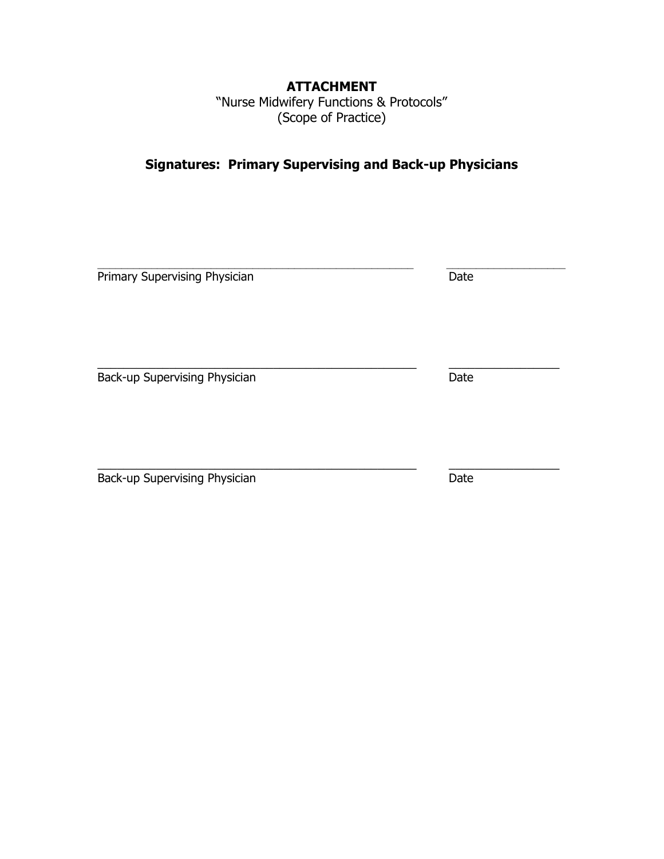# **ATTACHMENT**

"Nurse Midwifery Functions & Protocols" (Scope of Practice)

# **Signatures: Primary Supervising and Back-up Physicians**

| Primary Supervising Physician | Date |
|-------------------------------|------|
| Back-up Supervising Physician | Date |
| Back-up Supervising Physician | Date |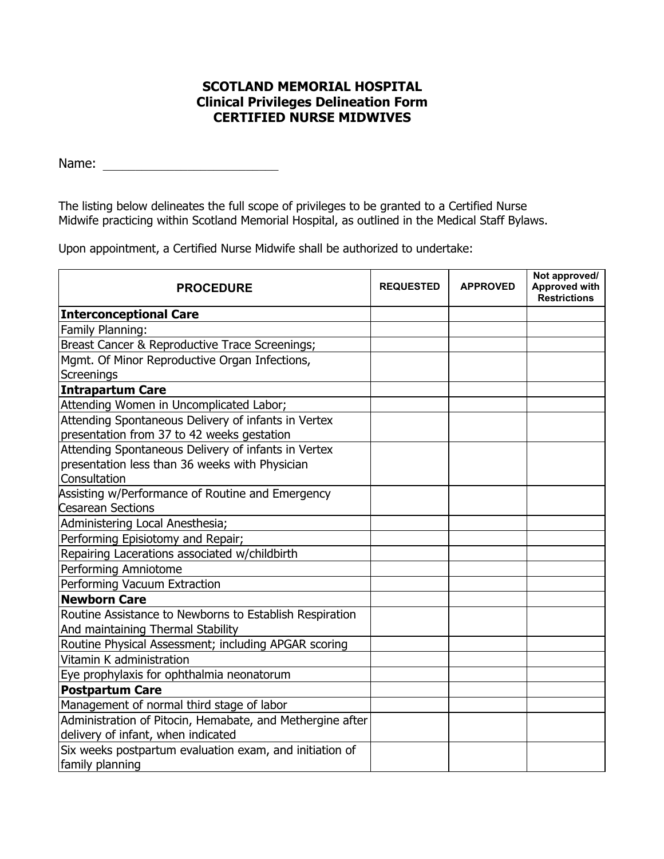## **SCOTLAND MEMORIAL HOSPITAL Clinical Privileges Delineation Form CERTIFIED NURSE MIDWIVES**

Name: \_\_\_\_\_\_\_\_\_\_\_\_\_\_\_\_\_\_\_\_\_\_\_\_\_\_\_

The listing below delineates the full scope of privileges to be granted to a Certified Nurse Midwife practicing within Scotland Memorial Hospital, as outlined in the Medical Staff Bylaws.

Upon appointment, a Certified Nurse Midwife shall be authorized to undertake:

| <b>PROCEDURE</b>                                                                             | <b>REQUESTED</b> | <b>APPROVED</b> | Not approved/<br><b>Approved with</b><br><b>Restrictions</b> |
|----------------------------------------------------------------------------------------------|------------------|-----------------|--------------------------------------------------------------|
| <b>Interconceptional Care</b>                                                                |                  |                 |                                                              |
| Family Planning:                                                                             |                  |                 |                                                              |
| Breast Cancer & Reproductive Trace Screenings;                                               |                  |                 |                                                              |
| Mgmt. Of Minor Reproductive Organ Infections,                                                |                  |                 |                                                              |
| Screenings                                                                                   |                  |                 |                                                              |
| <b>Intrapartum Care</b>                                                                      |                  |                 |                                                              |
| Attending Women in Uncomplicated Labor;                                                      |                  |                 |                                                              |
| Attending Spontaneous Delivery of infants in Vertex                                          |                  |                 |                                                              |
| presentation from 37 to 42 weeks gestation                                                   |                  |                 |                                                              |
| Attending Spontaneous Delivery of infants in Vertex                                          |                  |                 |                                                              |
| presentation less than 36 weeks with Physician                                               |                  |                 |                                                              |
| Consultation                                                                                 |                  |                 |                                                              |
| Assisting w/Performance of Routine and Emergency                                             |                  |                 |                                                              |
| <b>Cesarean Sections</b>                                                                     |                  |                 |                                                              |
| Administering Local Anesthesia;                                                              |                  |                 |                                                              |
| Performing Episiotomy and Repair;                                                            |                  |                 |                                                              |
| Repairing Lacerations associated w/childbirth                                                |                  |                 |                                                              |
| Performing Amniotome                                                                         |                  |                 |                                                              |
| Performing Vacuum Extraction                                                                 |                  |                 |                                                              |
| <b>Newborn Care</b>                                                                          |                  |                 |                                                              |
| Routine Assistance to Newborns to Establish Respiration<br>And maintaining Thermal Stability |                  |                 |                                                              |
| Routine Physical Assessment; including APGAR scoring                                         |                  |                 |                                                              |
| Vitamin K administration                                                                     |                  |                 |                                                              |
| Eye prophylaxis for ophthalmia neonatorum                                                    |                  |                 |                                                              |
| <b>Postpartum Care</b>                                                                       |                  |                 |                                                              |
| Management of normal third stage of labor                                                    |                  |                 |                                                              |
| Administration of Pitocin, Hemabate, and Methergine after                                    |                  |                 |                                                              |
| delivery of infant, when indicated                                                           |                  |                 |                                                              |
| Six weeks postpartum evaluation exam, and initiation of<br>family planning                   |                  |                 |                                                              |